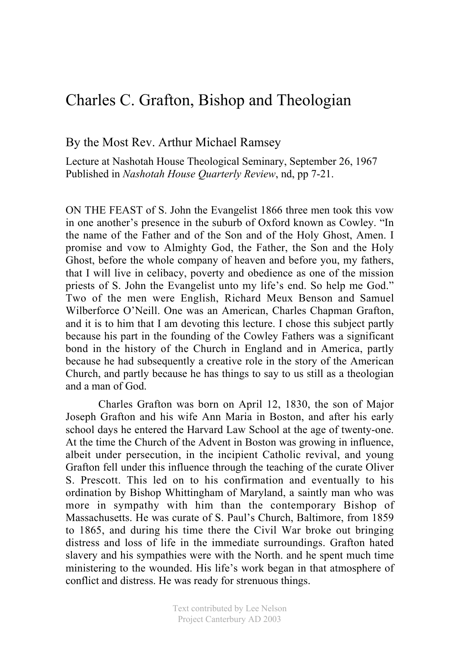## Charles C. Grafton, Bishop and Theologian

## By the Most Rev. Arthur Michael Ramsey

Lecture at Nashotah House Theological Seminary, September 26, 1967 Published in *Nashotah House Quarterly Review*, nd, pp 7-21.

ON THE FEAST of S. John the Evangelist 1866 three men took this vow in one another's presence in the suburb of Oxford known as Cowley. "In the name of the Father and of the Son and of the Holy Ghost, Amen. I promise and vow to Almighty God, the Father, the Son and the Holy Ghost, before the whole company of heaven and before you, my fathers, that I will live in celibacy, poverty and obedience as one of the mission priests of S. John the Evangelist unto my life's end. So help me God." Two of the men were English, Richard Meux Benson and Samuel Wilberforce O'Neill. One was an American, Charles Chapman Grafton, and it is to him that I am devoting this lecture. I chose this subject partly because his part in the founding of the Cowley Fathers was a significant bond in the history of the Church in England and in America, partly because he had subsequently a creative role in the story of the American Church, and partly because he has things to say to us still as a theologian and a man of God.

Charles Grafton was born on April 12, 1830, the son of Major Joseph Grafton and his wife Ann Maria in Boston, and after his early school days he entered the Harvard Law School at the age of twenty-one. At the time the Church of the Advent in Boston was growing in influence, albeit under persecution, in the incipient Catholic revival, and young Grafton fell under this influence through the teaching of the curate Oliver S. Prescott. This led on to his confirmation and eventually to his ordination by Bishop Whittingham of Maryland, a saintly man who was more in sympathy with him than the contemporary Bishop of Massachusetts. He was curate of S. Paul's Church, Baltimore, from 1859 to 1865, and during his time there the Civil War broke out bringing distress and loss of life in the immediate surroundings. Grafton hated slavery and his sympathies were with the North. and he spent much time ministering to the wounded. His life's work began in that atmosphere of conflict and distress. He was ready for strenuous things.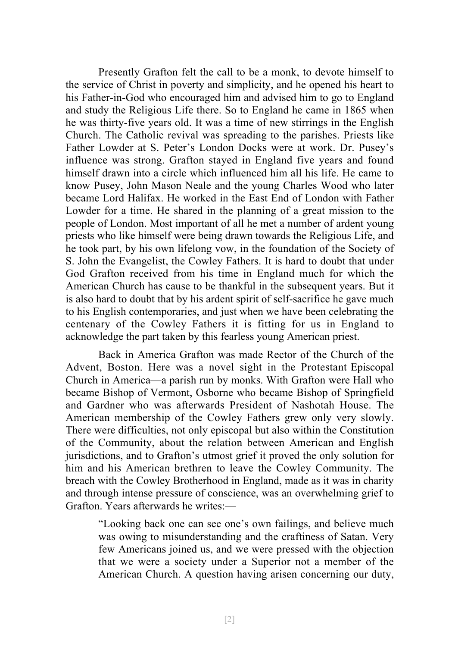Presently Grafton felt the call to be a monk, to devote himself to the service of Christ in poverty and simplicity, and he opened his heart to his Father-in-God who encouraged him and advised him to go to England and study the Religious Life there. So to England he came in 1865 when he was thirty-five years old. It was a time of new stirrings in the English Church. The Catholic revival was spreading to the parishes. Priests like Father Lowder at S. Peter's London Docks were at work. Dr. Pusey's influence was strong. Grafton stayed in England five years and found himself drawn into a circle which influenced him all his life. He came to know Pusey, John Mason Neale and the young Charles Wood who later became Lord Halifax. He worked in the East End of London with Father Lowder for a time. He shared in the planning of a great mission to the people of London. Most important of all he met a number of ardent young priests who like himself were being drawn towards the Religious Life, and he took part, by his own lifelong vow, in the foundation of the Society of S. John the Evangelist, the Cowley Fathers. It is hard to doubt that under God Grafton received from his time in England much for which the American Church has cause to be thankful in the subsequent years. But it is also hard to doubt that by his ardent spirit of self-sacrifice he gave much to his English contemporaries, and just when we have been celebrating the centenary of the Cowley Fathers it is fitting for us in England to acknowledge the part taken by this fearless young American priest.

Back in America Grafton was made Rector of the Church of the Advent, Boston. Here was a novel sight in the Protestant Episcopal Church in America—a parish run by monks. With Grafton were Hall who became Bishop of Vermont, Osborne who became Bishop of Springfield and Gardner who was afterwards President of Nashotah House. The American membership of the Cowley Fathers grew only very slowly. There were difficulties, not only episcopal but also within the Constitution of the Community, about the relation between American and English jurisdictions, and to Grafton's utmost grief it proved the only solution for him and his American brethren to leave the Cowley Community. The breach with the Cowley Brotherhood in England, made as it was in charity and through intense pressure of conscience, was an overwhelming grief to Grafton. Years afterwards he writes:—

"Looking back one can see one's own failings, and believe much was owing to misunderstanding and the craftiness of Satan. Very few Americans joined us, and we were pressed with the objection that we were a society under a Superior not a member of the American Church. A question having arisen concerning our duty,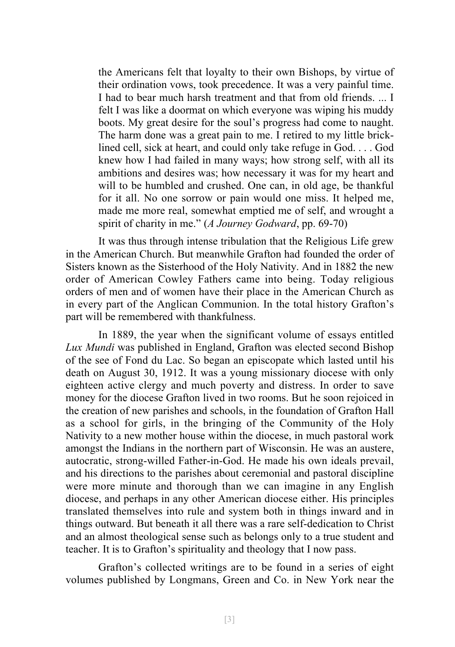the Americans felt that loyalty to their own Bishops, by virtue of their ordination vows, took precedence. It was a very painful time. I had to bear much harsh treatment and that from old friends. ... I felt I was like a doormat on which everyone was wiping his muddy boots. My great desire for the soul's progress had come to naught. The harm done was a great pain to me. I retired to my little bricklined cell, sick at heart, and could only take refuge in God. . . . God knew how I had failed in many ways; how strong self, with all its ambitions and desires was; how necessary it was for my heart and will to be humbled and crushed. One can, in old age, be thankful for it all. No one sorrow or pain would one miss. It helped me, made me more real, somewhat emptied me of self, and wrought a spirit of charity in me." (*A Journey Godward*, pp. 69-70)

It was thus through intense tribulation that the Religious Life grew in the American Church. But meanwhile Grafton had founded the order of Sisters known as the Sisterhood of the Holy Nativity. And in 1882 the new order of American Cowley Fathers came into being. Today religious orders of men and of women have their place in the American Church as in every part of the Anglican Communion. In the total history Grafton's part will be remembered with thankfulness.

In 1889, the year when the significant volume of essays entitled *Lux Mundi* was published in England, Grafton was elected second Bishop of the see of Fond du Lac. So began an episcopate which lasted until his death on August 30, 1912. It was a young missionary diocese with only eighteen active clergy and much poverty and distress. In order to save money for the diocese Grafton lived in two rooms. But he soon rejoiced in the creation of new parishes and schools, in the foundation of Grafton Hall as a school for girls, in the bringing of the Community of the Holy Nativity to a new mother house within the diocese, in much pastoral work amongst the Indians in the northern part of Wisconsin. He was an austere, autocratic, strong-willed Father-in-God. He made his own ideals prevail, and his directions to the parishes about ceremonial and pastoral discipline were more minute and thorough than we can imagine in any English diocese, and perhaps in any other American diocese either. His principles translated themselves into rule and system both in things inward and in things outward. But beneath it all there was a rare self-dedication to Christ and an almost theological sense such as belongs only to a true student and teacher. It is to Grafton's spirituality and theology that I now pass.

Grafton's collected writings are to be found in a series of eight volumes published by Longmans, Green and Co. in New York near the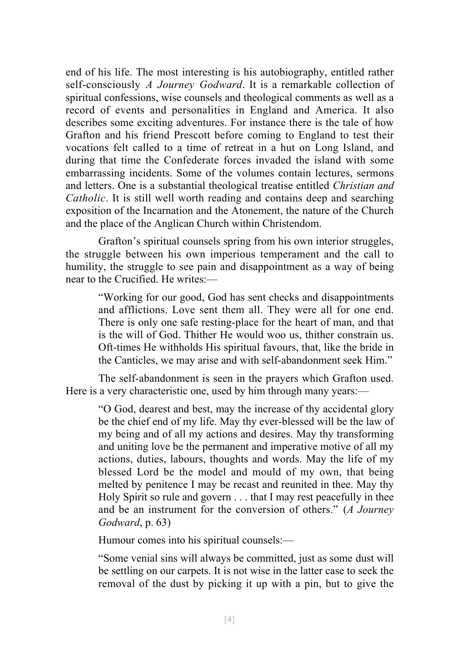end of his life. The most interesting is his autobiography, entitled rather self-consciously *A Journey Godward*. It is a remarkable collection of spiritual confessions, wise counsels and theological comments as well as a record of events and personalities in England and America. It also describes some exciting adventures. For instance there is the tale of how Grafton and his friend Prescott before coming to England to test their vocations felt called to a time of retreat in a hut on Long Island, and during that time the Confederate forces invaded the island with some embarrassing incidents. Some of the volumes contain lectures, sermons and letters. One is a substantial theological treatise entitled *Christian and Catholic*. It is still well worth reading and contains deep and searching exposition of the Incarnation and the Atonement, the nature of the Church and the place of the Anglican Church within Christendom.

Grafton's spiritual counsels spring from his own interior struggles, the struggle between his own imperious temperament and the call to humility, the struggle to see pain and disappointment as a way of being near to the Crucified. He writes:—

"Working for our good, God has sent checks and disappointments and afflictions. Love sent them all. They were all for one end. There is only one safe resting-place for the heart of man, and that is the will of God. Thither He would woo us, thither constrain us. Oft-times He withholds His spiritual favours, that, like the bride in the Canticles, we may arise and with self-abandonment seek Him."

The self-abandonment is seen in the prayers which Grafton used. Here is a very characteristic one, used by him through many years:—

"O God, dearest and best, may the increase of thy accidental glory be the chief end of my life. May thy ever-blessed will be the law of my being and of all my actions and desires. May thy transforming and uniting love be the permanent and imperative motive of all my actions, duties, labours, thoughts and words. May the life of my blessed Lord be the model and mould of my own, that being melted by penitence I may be recast and reunited in thee. May thy Holy Spirit so rule and govern . . . that I may rest peacefully in thee and be an instrument for the conversion of others." (*A Journey Godward*, p. 63)

Humour comes into his spiritual counsels:—

"Some venial sins will always be committed, just as some dust will be settling on our carpets. It is not wise in the latter case to seek the removal of the dust by picking it up with a pin, but to give the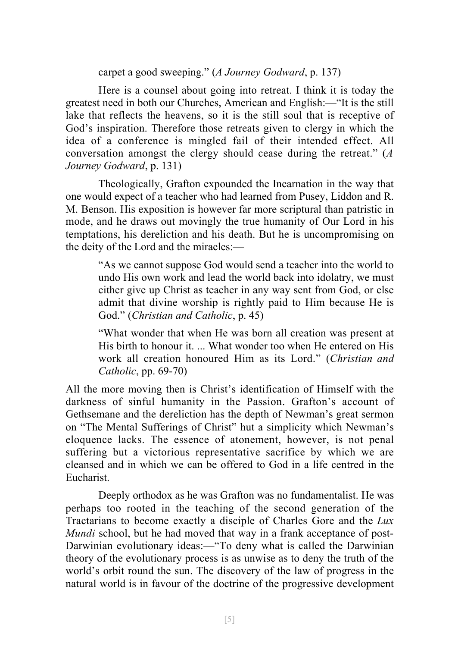carpet a good sweeping." (*A Journey Godward*, p. 137)

Here is a counsel about going into retreat. I think it is today the greatest need in both our Churches, American and English:—"It is the still lake that reflects the heavens, so it is the still soul that is receptive of God's inspiration. Therefore those retreats given to clergy in which the idea of a conference is mingled fail of their intended effect. All conversation amongst the clergy should cease during the retreat." (*A Journey Godward*, p. 131)

Theologically, Grafton expounded the Incarnation in the way that one would expect of a teacher who had learned from Pusey, Liddon and R. M. Benson. His exposition is however far more scriptural than patristic in mode, and he draws out movingly the true humanity of Our Lord in his temptations, his dereliction and his death. But he is uncompromising on the deity of the Lord and the miracles:—

"As we cannot suppose God would send a teacher into the world to undo His own work and lead the world back into idolatry, we must either give up Christ as teacher in any way sent from God, or else admit that divine worship is rightly paid to Him because He is God." (*Christian and Catholic*, p. 45)

"What wonder that when He was born all creation was present at His birth to honour it. ... What wonder too when He entered on His work all creation honoured Him as its Lord." (*Christian and Catholic*, pp. 69-70)

All the more moving then is Christ's identification of Himself with the darkness of sinful humanity in the Passion. Grafton's account of Gethsemane and the dereliction has the depth of Newman's great sermon on "The Mental Sufferings of Christ" hut a simplicity which Newman's eloquence lacks. The essence of atonement, however, is not penal suffering but a victorious representative sacrifice by which we are cleansed and in which we can be offered to God in a life centred in the Eucharist.

Deeply orthodox as he was Grafton was no fundamentalist. He was perhaps too rooted in the teaching of the second generation of the Tractarians to become exactly a disciple of Charles Gore and the *Lux Mundi* school, but he had moved that way in a frank acceptance of post-Darwinian evolutionary ideas:—"To deny what is called the Darwinian theory of the evolutionary process is as unwise as to deny the truth of the world's orbit round the sun. The discovery of the law of progress in the natural world is in favour of the doctrine of the progressive development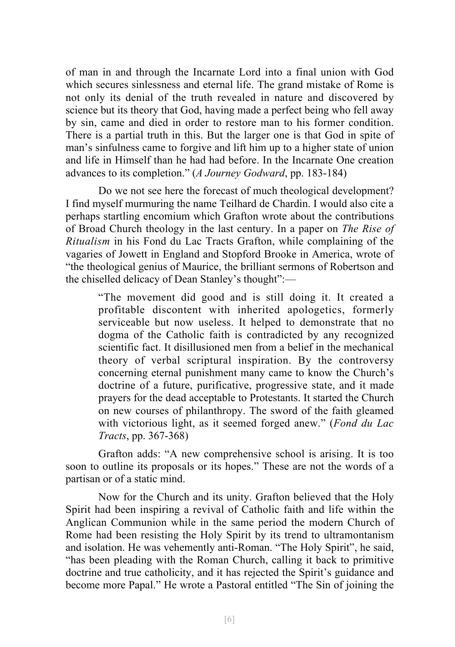of man in and through the Incarnate Lord into a final union with God which secures sinlessness and eternal life. The grand mistake of Rome is not only its denial of the truth revealed in nature and discovered by science but its theory that God, having made a perfect being who fell away by sin, came and died in order to restore man to his former condition. There is a partial truth in this. But the larger one is that God in spite of man's sinfulness came to forgive and lift him up to a higher state of union and life in Himself than he had had before. In the Incarnate One creation advances to its completion." (*A Journey Godward*, pp. 183-184)

Do we not see here the forecast of much theological development? I find myself murmuring the name Teilhard de Chardin. I would also cite a perhaps startling encomium which Grafton wrote about the contributions of Broad Church theology in the last century. In a paper on *The Rise of Ritualism* in his Fond du Lac Tracts Grafton, while complaining of the vagaries of Jowett in England and Stopford Brooke in America, wrote of "the theological genius of Maurice, the brilliant sermons of Robertson and the chiselled delicacy of Dean Stanley's thought":—

"The movement did good and is still doing it. It created a profitable discontent with inherited apologetics, formerly serviceable but now useless. It helped to demonstrate that no dogma of the Catholic faith is contradicted by any recognized scientific fact. It disillusioned men from a belief in the mechanical theory of verbal scriptural inspiration. By the controversy concerning eternal punishment many came to know the Church's doctrine of a future, purificative, progressive state, and it made prayers for the dead acceptable to Protestants. It started the Church on new courses of philanthropy. The sword of the faith gleamed with victorious light, as it seemed forged anew." (*Fond du Lac Tracts*, pp. 367-368)

Grafton adds: "A new comprehensive school is arising. It is too soon to outline its proposals or its hopes." These are not the words of a partisan or of a static mind.

Now for the Church and its unity. Grafton believed that the Holy Spirit had been inspiring a revival of Catholic faith and life within the Anglican Communion while in the same period the modern Church of Rome had been resisting the Holy Spirit by its trend to ultramontanism and isolation. He was vehemently anti-Roman. "The Holy Spirit", he said, "has been pleading with the Roman Church, calling it back to primitive doctrine and true catholicity, and it has rejected the Spirit's guidance and become more Papal." He wrote a Pastoral entitled "The Sin of joining the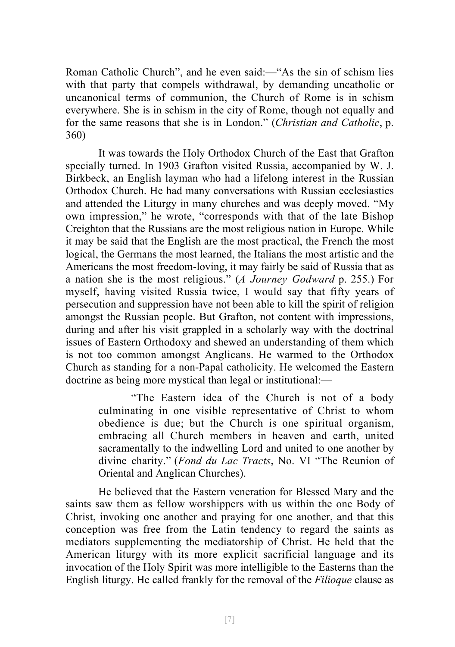Roman Catholic Church", and he even said:—"As the sin of schism lies with that party that compels withdrawal, by demanding uncatholic or uncanonical terms of communion, the Church of Rome is in schism everywhere. She is in schism in the city of Rome, though not equally and for the same reasons that she is in London." (*Christian and Catholic*, p. 360)

It was towards the Holy Orthodox Church of the East that Grafton specially turned. In 1903 Grafton visited Russia, accompanied by W. J. Birkbeck, an English layman who had a lifelong interest in the Russian Orthodox Church. He had many conversations with Russian ecclesiastics and attended the Liturgy in many churches and was deeply moved. "My own impression," he wrote, "corresponds with that of the late Bishop Creighton that the Russians are the most religious nation in Europe. While it may be said that the English are the most practical, the French the most logical, the Germans the most learned, the Italians the most artistic and the Americans the most freedom-loving, it may fairly be said of Russia that as a nation she is the most religious." (*A Journey Godward* p. 255.) For myself, having visited Russia twice, I would say that fifty years of persecution and suppression have not been able to kill the spirit of religion amongst the Russian people. But Grafton, not content with impressions, during and after his visit grappled in a scholarly way with the doctrinal issues of Eastern Orthodoxy and shewed an understanding of them which is not too common amongst Anglicans. He warmed to the Orthodox Church as standing for a non-Papal catholicity. He welcomed the Eastern doctrine as being more mystical than legal or institutional:—

> "The Eastern idea of the Church is not of a body culminating in one visible representative of Christ to whom obedience is due; but the Church is one spiritual organism, embracing all Church members in heaven and earth, united sacramentally to the indwelling Lord and united to one another by divine charity." (*Fond du Lac Tracts*, No. VI "The Reunion of Oriental and Anglican Churches).

He believed that the Eastern veneration for Blessed Mary and the saints saw them as fellow worshippers with us within the one Body of Christ, invoking one another and praying for one another, and that this conception was free from the Latin tendency to regard the saints as mediators supplementing the mediatorship of Christ. He held that the American liturgy with its more explicit sacrificial language and its invocation of the Holy Spirit was more intelligible to the Easterns than the English liturgy. He called frankly for the removal of the *Filioque* clause as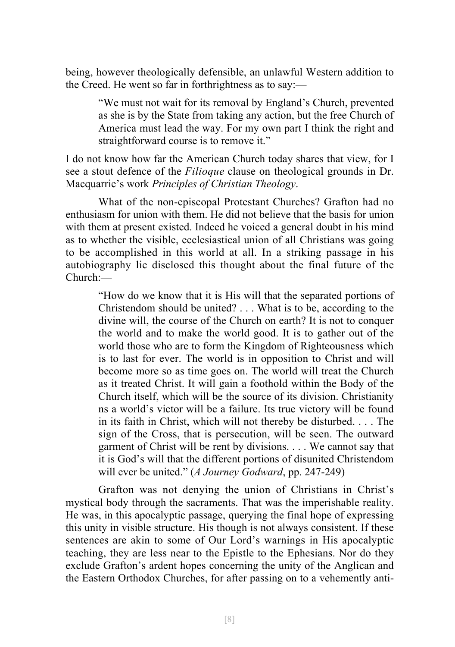being, however theologically defensible, an unlawful Western addition to the Creed. He went so far in forthrightness as to say:—

> "We must not wait for its removal by England's Church, prevented as she is by the State from taking any action, but the free Church of America must lead the way. For my own part I think the right and straightforward course is to remove it."

I do not know how far the American Church today shares that view, for I see a stout defence of the *Filioque* clause on theological grounds in Dr. Macquarrie's work *Principles of Christian Theology*.

What of the non-episcopal Protestant Churches? Grafton had no enthusiasm for union with them. He did not believe that the basis for union with them at present existed. Indeed he voiced a general doubt in his mind as to whether the visible, ecclesiastical union of all Christians was going to be accomplished in this world at all. In a striking passage in his autobiography lie disclosed this thought about the final future of the Church:—

"How do we know that it is His will that the separated portions of Christendom should be united? . . . What is to be, according to the divine will, the course of the Church on earth? It is not to conquer the world and to make the world good. It is to gather out of the world those who are to form the Kingdom of Righteousness which is to last for ever. The world is in opposition to Christ and will become more so as time goes on. The world will treat the Church as it treated Christ. It will gain a foothold within the Body of the Church itself, which will be the source of its division. Christianity ns a world's victor will be a failure. Its true victory will be found in its faith in Christ, which will not thereby be disturbed. . . . The sign of the Cross, that is persecution, will be seen. The outward garment of Christ will be rent by divisions. . . . We cannot say that it is God's will that the different portions of disunited Christendom will ever be united." (*A Journey Godward*, pp. 247-249)

Grafton was not denying the union of Christians in Christ's mystical body through the sacraments. That was the imperishable reality. He was, in this apocalyptic passage, querying the final hope of expressing this unity in visible structure. His though is not always consistent. If these sentences are akin to some of Our Lord's warnings in His apocalyptic teaching, they are less near to the Epistle to the Ephesians. Nor do they exclude Grafton's ardent hopes concerning the unity of the Anglican and the Eastern Orthodox Churches, for after passing on to a vehemently anti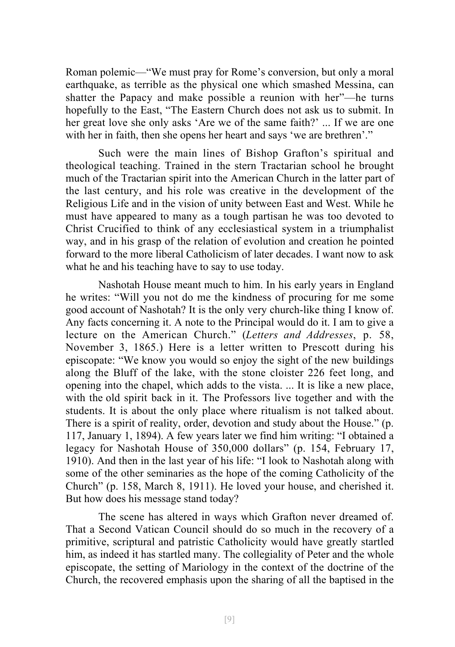Roman polemic—"We must pray for Rome's conversion, but only a moral earthquake, as terrible as the physical one which smashed Messina, can shatter the Papacy and make possible a reunion with her"—he turns hopefully to the East, "The Eastern Church does not ask us to submit. In her great love she only asks 'Are we of the same faith?' ... If we are one with her in faith, then she opens her heart and says 'we are brethren'."

Such were the main lines of Bishop Grafton's spiritual and theological teaching. Trained in the stern Tractarian school he brought much of the Tractarian spirit into the American Church in the latter part of the last century, and his role was creative in the development of the Religious Life and in the vision of unity between East and West. While he must have appeared to many as a tough partisan he was too devoted to Christ Crucified to think of any ecclesiastical system in a triumphalist way, and in his grasp of the relation of evolution and creation he pointed forward to the more liberal Catholicism of later decades. I want now to ask what he and his teaching have to say to use today.

Nashotah House meant much to him. In his early years in England he writes: "Will you not do me the kindness of procuring for me some good account of Nashotah? It is the only very church-like thing I know of. Any facts concerning it. A note to the Principal would do it. I am to give a lecture on the American Church." (*Letters and Addresses*, p. 58, November 3, 1865.) Here is a letter written to Prescott during his episcopate: "We know you would so enjoy the sight of the new buildings along the Bluff of the lake, with the stone cloister 226 feet long, and opening into the chapel, which adds to the vista. ... It is like a new place, with the old spirit back in it. The Professors live together and with the students. It is about the only place where ritualism is not talked about. There is a spirit of reality, order, devotion and study about the House." (p. 117, January 1, 1894). A few years later we find him writing: "I obtained a legacy for Nashotah House of 350,000 dollars" (p. 154, February 17, 1910). And then in the last year of his life: "I look to Nashotah along with some of the other seminaries as the hope of the coming Catholicity of the Church" (p. 158, March 8, 1911). He loved your house, and cherished it. But how does his message stand today?

The scene has altered in ways which Grafton never dreamed of. That a Second Vatican Council should do so much in the recovery of a primitive, scriptural and patristic Catholicity would have greatly startled him, as indeed it has startled many. The collegiality of Peter and the whole episcopate, the setting of Mariology in the context of the doctrine of the Church, the recovered emphasis upon the sharing of all the baptised in the